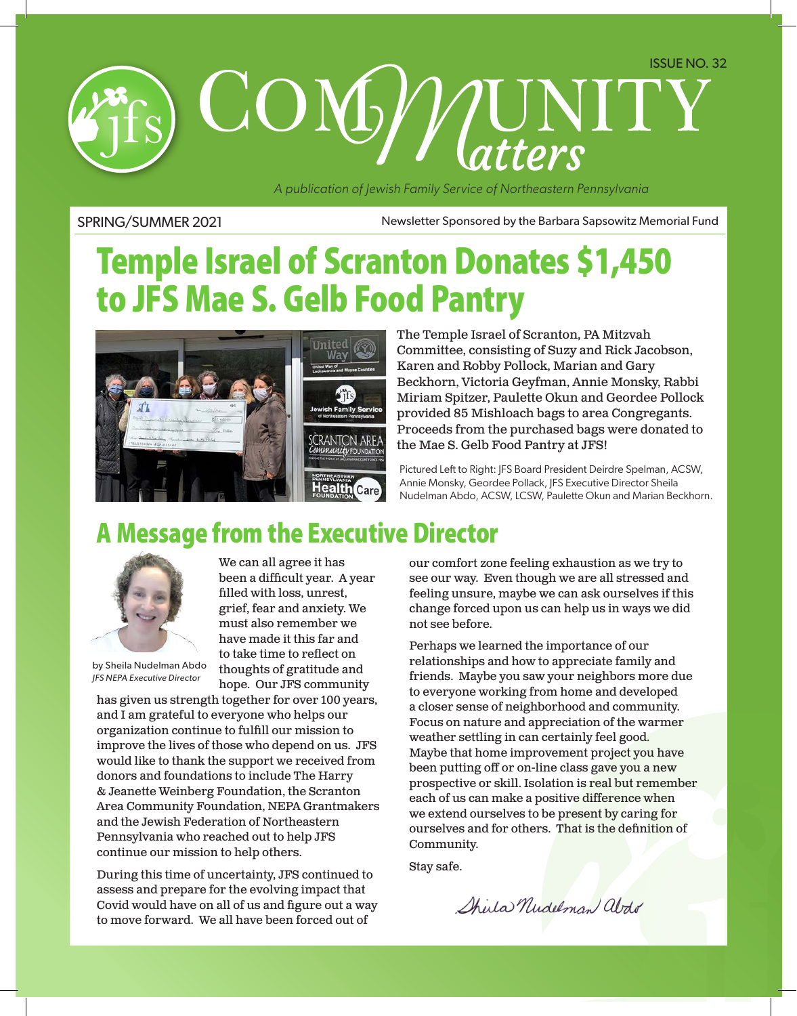# COMP MINITY

*A publication of Jewish Family Service of Northeastern Pennsylvania*

SPRING/SUMMER 2021 Newsletter Sponsored by the Barbara Sapsowitz Memorial Fund

# Temple Israel of Scranton Donates \$1,450 to JFS Mae S. Gelb Food Pantry



The Temple Israel of Scranton, PA Mitzvah Committee, consisting of Suzy and Rick Jacobson, Karen and Robby Pollock, Marian and Gary Beckhorn, Victoria Geyfman, Annie Monsky, Rabbi Miriam Spitzer, Paulette Okun and Geordee Pollock provided 85 Mishloach bags to area Congregants. Proceeds from the purchased bags were donated to the Mae S. Gelb Food Pantry at JFS!

Pictured Left to Right: JFS Board President Deirdre Spelman, ACSW, Annie Monsky, Geordee Pollack, JFS Executive Director Sheila Nudelman Abdo, ACSW, LCSW, Paulette Okun and Marian Beckhorn.

## A Message from the Executive Director



We can all agree it has been a difficult year. A year filled with loss, unrest, grief, fear and anxiety. We must also remember we have made it this far and to take time to reflect on thoughts of gratitude and hope. Our JFS community

by Sheila Nudelman Abdo *JFS NEPA Executive Director*

has given us strength together for over 100 years, and I am grateful to everyone who helps our organization continue to fulfill our mission to improve the lives of those who depend on us. JFS would like to thank the support we received from donors and foundations to include The Harry & Jeanette Weinberg Foundation, the Scranton Area Community Foundation, NEPA Grantmakers and the Jewish Federation of Northeastern Pennsylvania who reached out to help JFS continue our mission to help others.

During this time of uncertainty, JFS continued to assess and prepare for the evolving impact that Covid would have on all of us and figure out a way to move forward. We all have been forced out of

our comfort zone feeling exhaustion as we try to see our way. Even though we are all stressed and feeling unsure, maybe we can ask ourselves if this change forced upon us can help us in ways we did not see before.

Perhaps we learned the importance of our relationships and how to appreciate family and friends. Maybe you saw your neighbors more due to everyone working from home and developed a closer sense of neighborhood and community. Focus on nature and appreciation of the warmer weather settling in can certainly feel good. Maybe that home improvement project you have been putting off or on-line class gave you a new prospective or skill. Isolation is real but remember each of us can make a positive difference when we extend ourselves to be present by caring for ourselves and for others. That is the definition of Community.

Stay safe.

Shirla Nudelman about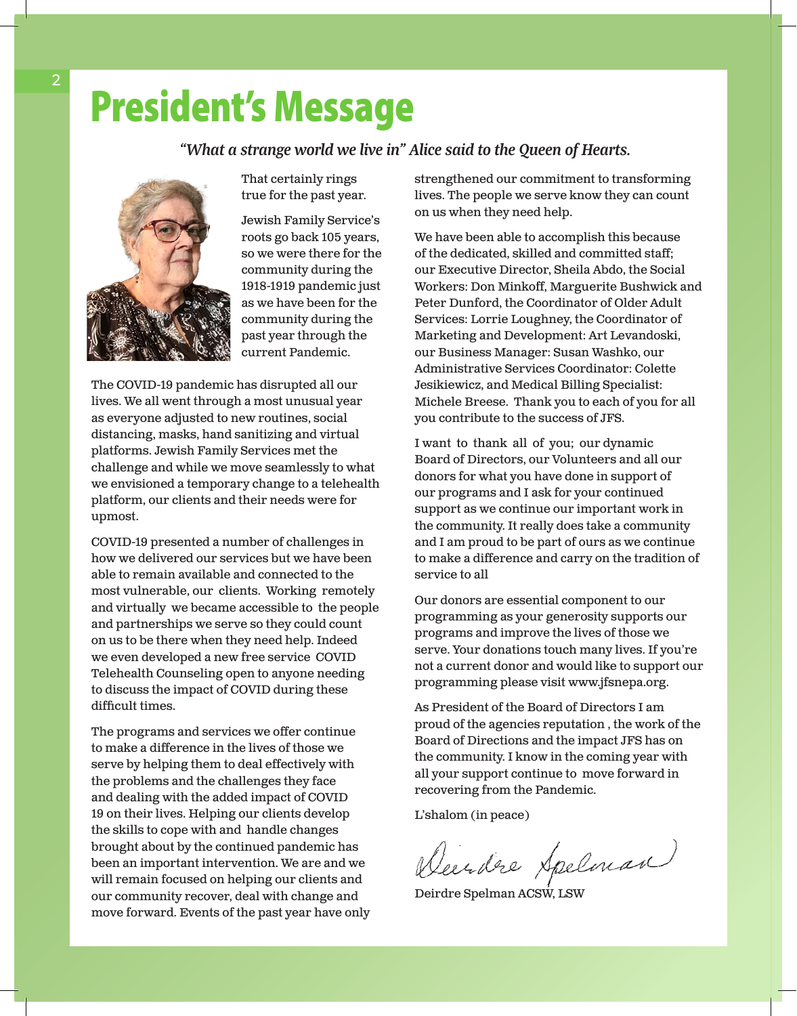# President's Message

#### *"What a strange world we live in" Alice said to the Queen of Hearts.*



That certainly rings true for the past year.

Jewish Family Service's roots go back 105 years, so we were there for the community during the 1918-1919 pandemic just as we have been for the community during the past year through the current Pandemic.

The COVID-19 pandemic has disrupted all our lives. We all went through a most unusual year as everyone adjusted to new routines, social distancing, masks, hand sanitizing and virtual platforms. Jewish Family Services met the challenge and while we move seamlessly to what we envisioned a temporary change to a telehealth platform, our clients and their needs were for upmost.

COVID-19 presented a number of challenges in how we delivered our services but we have been able to remain available and connected to the most vulnerable, our clients. Working remotely and virtually we became accessible to the people and partnerships we serve so they could count on us to be there when they need help. Indeed we even developed a new free service COVID Telehealth Counseling open to anyone needing to discuss the impact of COVID during these difficult times.

The programs and services we offer continue to make a difference in the lives of those we serve by helping them to deal effectively with the problems and the challenges they face and dealing with the added impact of COVID 19 on their lives. Helping our clients develop the skills to cope with and handle changes brought about by the continued pandemic has been an important intervention. We are and we will remain focused on helping our clients and our community recover, deal with change and move forward. Events of the past year have only strengthened our commitment to transforming lives. The people we serve know they can count on us when they need help.

We have been able to accomplish this because of the dedicated, skilled and committed staff; our Executive Director, Sheila Abdo, the Social Workers: Don Minkoff, Marguerite Bushwick and Peter Dunford, the Coordinator of Older Adult Services: Lorrie Loughney, the Coordinator of Marketing and Development: Art Levandoski, our Business Manager: Susan Washko, our Administrative Services Coordinator: Colette Jesikiewicz, and Medical Billing Specialist: Michele Breese. Thank you to each of you for all you contribute to the success of JFS.

I want to thank all of you; our dynamic Board of Directors, our Volunteers and all our donors for what you have done in support of our programs and I ask for your continued support as we continue our important work in the community. It really does take a community and I am proud to be part of ours as we continue to make a difference and carry on the tradition of service to all

Our donors are essential component to our programming as your generosity supports our programs and improve the lives of those we serve. Your donations touch many lives. If you're not a current donor and would like to support our programming please visit www.jfsnepa.org.

As President of the Board of Directors I am proud of the agencies reputation , the work of the Board of Directions and the impact JFS has on the community. I know in the coming year with all your support continue to move forward in recovering from the Pandemic.

L'shalom (in peace)

Deerdre Apelman

Deirdre Spelman ACSW, LSW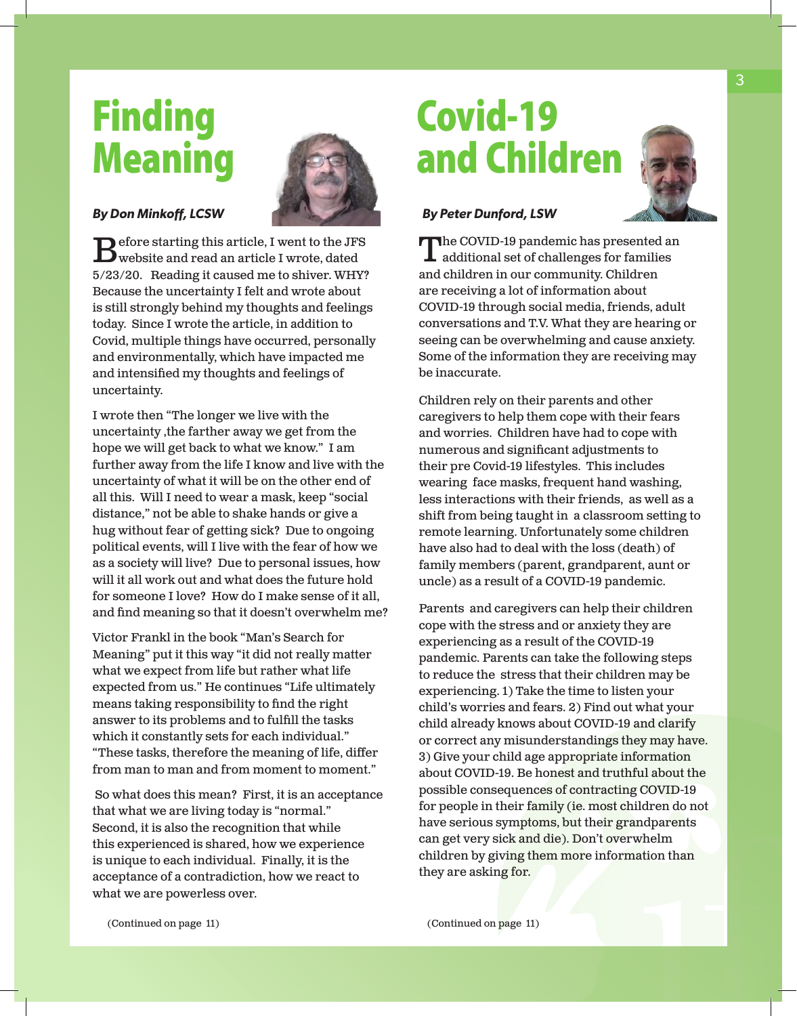# **Finding** Meaning



#### *By Don Minkoff, LCSW*

 $\sum$  efore starting this article, I went to the JFS<br>swebsite and read an article I wrote, dated 5/23/20. Reading it caused me to shiver. WHY? Because the uncertainty I felt and wrote about is still strongly behind my thoughts and feelings today. Since I wrote the article, in addition to Covid, multiple things have occurred, personally and environmentally, which have impacted me and intensified my thoughts and feelings of uncertainty.

I wrote then "The longer we live with the uncertainty ,the farther away we get from the hope we will get back to what we know." I am further away from the life I know and live with the uncertainty of what it will be on the other end of all this. Will I need to wear a mask, keep "social distance," not be able to shake hands or give a hug without fear of getting sick? Due to ongoing political events, will I live with the fear of how we as a society will live? Due to personal issues, how will it all work out and what does the future hold for someone I love? How do I make sense of it all, and find meaning so that it doesn't overwhelm me?

Victor Frankl in the book "Man's Search for Meaning" put it this way "it did not really matter what we expect from life but rather what life expected from us." He continues "Life ultimately means taking responsibility to find the right answer to its problems and to fulfill the tasks which it constantly sets for each individual." "These tasks, therefore the meaning of life, differ from man to man and from moment to moment."

 So what does this mean? First, it is an acceptance that what we are living today is "normal." Second, it is also the recognition that while this experienced is shared, how we experience is unique to each individual. Finally, it is the acceptance of a contradiction, how we react to what we are powerless over.

# Covid-19 and Children



#### *By Peter Dunford, LSW*

The COVID-19 pandemic has presented an additional set of challenges for families and children in our community. Children are receiving a lot of information about COVID-19 through social media, friends, adult conversations and T.V. What they are hearing or seeing can be overwhelming and cause anxiety. Some of the information they are receiving may be inaccurate.

Children rely on their parents and other caregivers to help them cope with their fears and worries. Children have had to cope with numerous and significant adjustments to their pre Covid-19 lifestyles. This includes wearing face masks, frequent hand washing, less interactions with their friends, as well as a shift from being taught in a classroom setting to remote learning. Unfortunately some children have also had to deal with the loss (death) of family members (parent, grandparent, aunt or uncle) as a result of a COVID-19 pandemic.

Parents and caregivers can help their children cope with the stress and or anxiety they are experiencing as a result of the COVID-19 pandemic. Parents can take the following steps to reduce the stress that their children may be experiencing. 1) Take the time to listen your child's worries and fears. 2) Find out what your child already knows about COVID-19 and clarify or correct any misunderstandings they may have. 3) Give your child age appropriate information about COVID-19. Be honest and truthful about the possible consequences of contracting COVID-19 for people in their family (ie. most children do not have serious symptoms, but their grandparents can get very sick and die). Don't overwhelm children by giving them more information than they are asking for.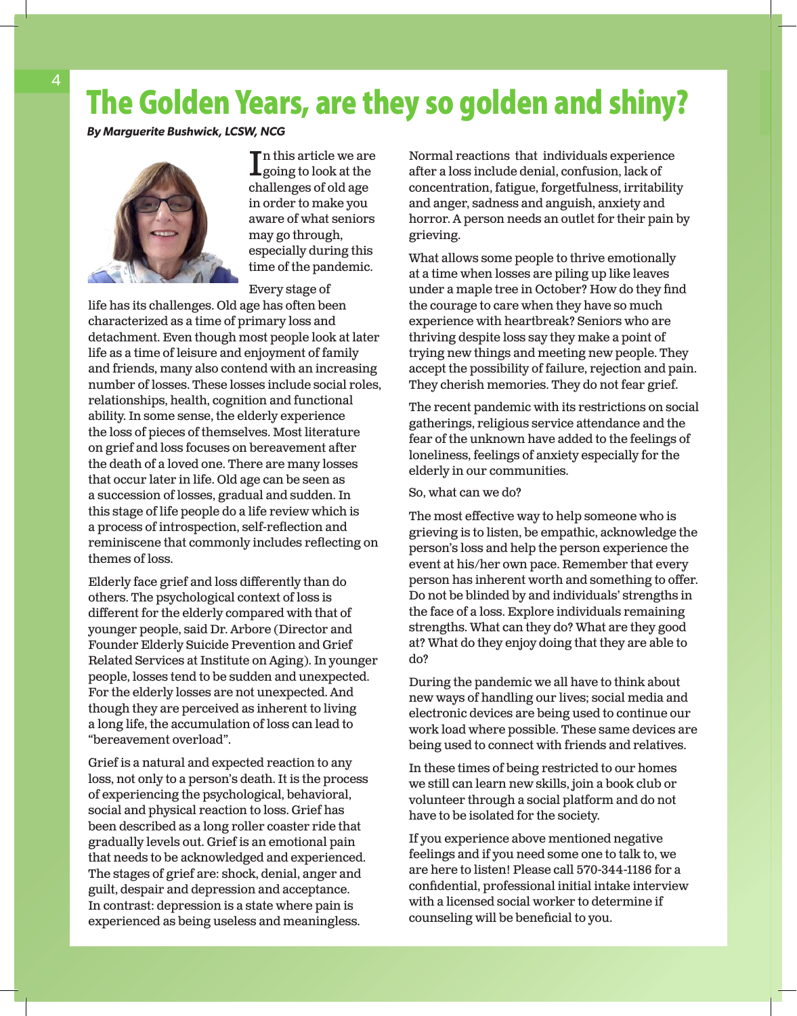## The Golden Years, are they so golden and shiny?

*By Marguerite Bushwick, LCSW, NCG*



 $\prod_{\substack{\text{going to look at the}}}\n$ n this article we are challenges of old age in order to make you aware of what seniors may go through, especially during this time of the pandemic.

Every stage of

life has its challenges. Old age has often been characterized as a time of primary loss and detachment. Even though most people look at later life as a time of leisure and enjoyment of family and friends, many also contend with an increasing number of losses. These losses include social roles, relationships, health, cognition and functional ability. In some sense, the elderly experience the loss of pieces of themselves. Most literature on grief and loss focuses on bereavement after the death of a loved one. There are many losses that occur later in life. Old age can be seen as a succession of losses, gradual and sudden. In this stage of life people do a life review which is a process of introspection, self-reflection and reminiscene that commonly includes reflecting on themes of loss.

Elderly face grief and loss differently than do others. The psychological context of loss is different for the elderly compared with that of younger people, said Dr. Arbore (Director and Founder Elderly Suicide Prevention and Grief Related Services at Institute on Aging). In younger people, losses tend to be sudden and unexpected. For the elderly losses are not unexpected. And though they are perceived as inherent to living a long life, the accumulation of loss can lead to "bereavement overload".

Grief is a natural and expected reaction to any loss, not only to a person's death. It is the process of experiencing the psychological, behavioral, social and physical reaction to loss. Grief has been described as a long roller coaster ride that gradually levels out. Grief is an emotional pain that needs to be acknowledged and experienced. The stages of grief are: shock, denial, anger and guilt, despair and depression and acceptance. In contrast: depression is a state where pain is experienced as being useless and meaningless.

Normal reactions that individuals experience after a loss include denial, confusion, lack of concentration, fatigue, forgetfulness, irritability and anger, sadness and anguish, anxiety and horror. A person needs an outlet for their pain by grieving.

What allows some people to thrive emotionally at a time when losses are piling up like leaves under a maple tree in October? How do they find the courage to care when they have so much experience with heartbreak? Seniors who are thriving despite loss say they make a point of trying new things and meeting new people. They accept the possibility of failure, rejection and pain. They cherish memories. They do not fear grief.

The recent pandemic with its restrictions on social gatherings, religious service attendance and the fear of the unknown have added to the feelings of loneliness, feelings of anxiety especially for the elderly in our communities.

#### So, what can we do?

The most effective way to help someone who is grieving is to listen, be empathic, acknowledge the person's loss and help the person experience the event at his/her own pace. Remember that every person has inherent worth and something to offer. Do not be blinded by and individuals' strengths in the face of a loss. Explore individuals remaining strengths. What can they do? What are they good at? What do they enjoy doing that they are able to do?

During the pandemic we all have to think about new ways of handling our lives; social media and electronic devices are being used to continue our work load where possible. These same devices are being used to connect with friends and relatives.

In these times of being restricted to our homes we still can learn new skills, join a book club or volunteer through a social platform and do not have to be isolated for the society.

If you experience above mentioned negative feelings and if you need some one to talk to, we are here to listen! Please call 570-344-1186 for a confidential, professional initial intake interview with a licensed social worker to determine if counseling will be beneficial to you.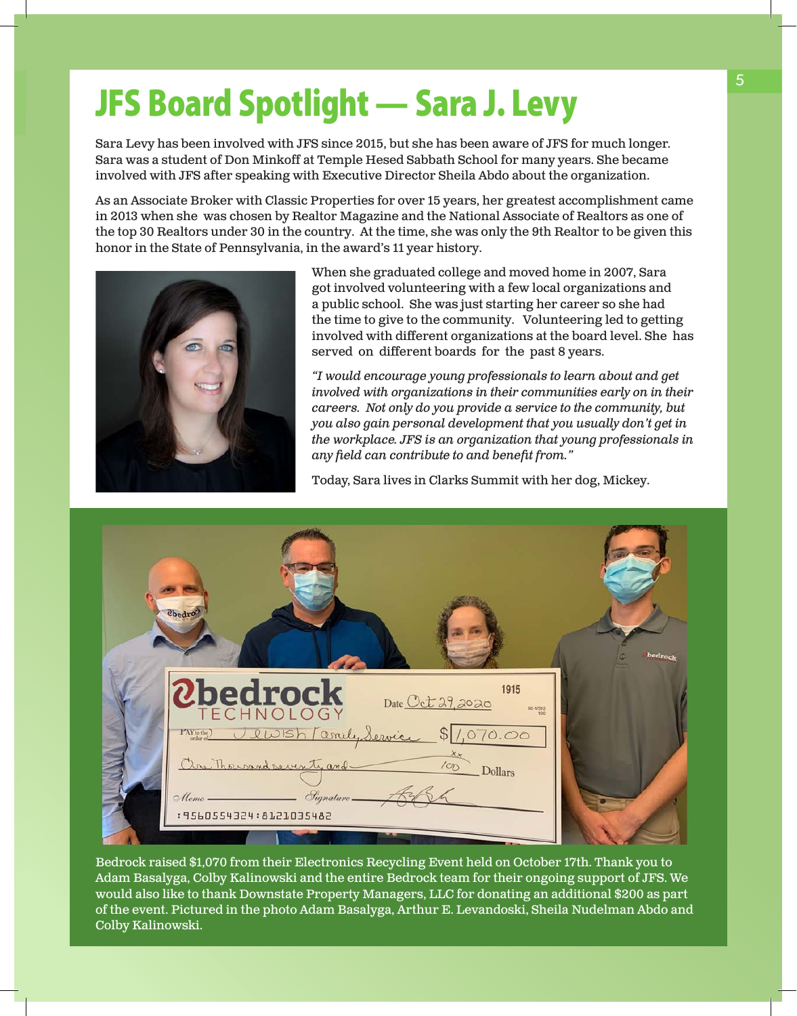# JFS Board Spotlight — Sara J. Levy

Sara Levy has been involved with JFS since 2015, but she has been aware of JFS for much longer. Sara was a student of Don Minkoff at Temple Hesed Sabbath School for many years. She became involved with JFS after speaking with Executive Director Sheila Abdo about the organization.

As an Associate Broker with Classic Properties for over 15 years, her greatest accomplishment came in 2013 when she was chosen by Realtor Magazine and the National Associate of Realtors as one of the top 30 Realtors under 30 in the country. At the time, she was only the 9th Realtor to be given this honor in the State of Pennsylvania, in the award's 11 year history.



When she graduated college and moved home in 2007, Sara got involved volunteering with a few local organizations and a public school. She was just starting her career so she had the time to give to the community. Volunteering led to getting involved with different organizations at the board level. She has served on different boards for the past 8 years.

*"I would encourage young professionals to learn about and get involved with organizations in their communities early on in their careers. Not only do you provide a service to the community, but you also gain personal development that you usually don't get in the workplace. JFS is an organization that young professionals in any field can contribute to and benefit from."*

Today, Sara lives in Clarks Summit with her dog, Mickey.

| Chedro                                                                                                                         | bedrock |
|--------------------------------------------------------------------------------------------------------------------------------|---------|
| <b>Ubedrock</b><br>1915<br>Date Oct 29, 2020<br>60-1/313                                                                       |         |
| PNroto) Jewish Comily Service \$ 1,070.00<br>$\frac{\lambda_{\mathcal{X}}}{100}$<br>One Thousand seventy and<br><b>Dollars</b> |         |
| $S_{ignature}$<br>$\odot$ llemo —<br>: 9560554324 : 8121035482                                                                 |         |
|                                                                                                                                |         |

Bedrock raised \$1,070 from their Electronics Recycling Event held on October 17th. Thank you to Adam Basalyga, Colby Kalinowski and the entire Bedrock team for their ongoing support of JFS. We would also like to thank Downstate Property Managers, LLC for donating an additional \$200 as part of the event. Pictured in the photo Adam Basalyga, Arthur E. Levandoski, Sheila Nudelman Abdo and Colby Kalinowski.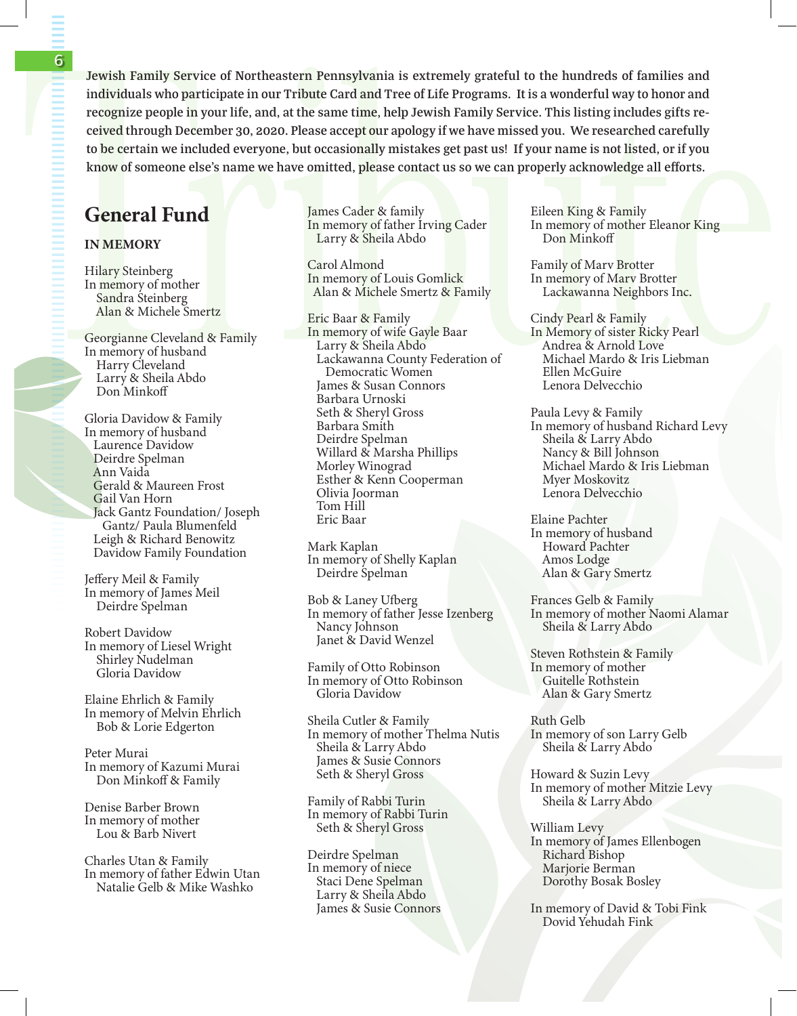**Jewish Family Service of Northeastern Pennsylvania is extremely grateful to the hundreds of families and individuals who participate in our Tribute Card and Tree of Life Programs. It is a wonderful way to honor and recognize people in your life, and, at the same time, help Jewish Family Service. This listing includes gifts received through December 30, 2020. Please accept our apology if we have missed you. We researched carefully to be certain we included everyone, but occasionally mistakes get past us! If your name is not listed, or if you know of someone else's name we have omitted, please contact us so we can properly acknowledge all efforts.**

## General Fund

#### IN MEMORY

Hilary Steinberg In memory of mother Sandra Steinberg Alan & Michele Smertz

Georgianne Cleveland & Family In memory of husband Harry Cleveland Larry & Sheila Abdo Don Minkoff

Gloria Davidow & Family In memory of husband Laurence Davidow Deirdre Spelman Ann Vaida Gerald & Maureen Frost Gail Van Horn Jack Gantz Foundation/ Joseph Gantz/ Paula Blumenfeld Leigh & Richard Benowitz Davidow Family Foundation

Jeffery Meil & Family In memory of James Meil Deirdre Spelman

Robert Davidow In memory of Liesel Wright Shirley Nudelman Gloria Davidow

Elaine Ehrlich & Family In memory of Melvin Ehrlich Bob & Lorie Edgerton

Peter Murai In memory of Kazumi Murai Don Minkoff & Family

Denise Barber Brown In memory of mother Lou & Barb Nivert

Charles Utan & Family In memory of father Edwin Utan Natalie Gelb & Mike Washko

James Cader & family In memory of father Irving Cader Larry & Sheila Abdo

Carol Almond In memory of Louis Gomlick Alan & Michele Smertz & Family

Eric Baar & Family In memory of wife Gayle Baar Larry & Sheila Abdo Lackawanna County Federation of Democratic Women James & Susan Connors Barbara Urnoski Seth & Sheryl Gross Barbara Smith Deirdre Spelman Willard & Marsha Phillips Morley Winograd Esther & Kenn Cooperman Olivia Joorman Tom Hill Eric Baar

Mark Kaplan In memory of Shelly Kaplan Deirdre Spelman

Bob & Laney Ufberg In memory of father Jesse Izenberg Nancy Johnson Janet & David Wenzel

Family of Otto Robinson In memory of Otto Robinson Gloria Davidow

Sheila Cutler & Family In memory of mother Thelma Nutis Sheila & Larry Abdo James & Susie Connors Seth & Sheryl Gross

Family of Rabbi Turin In memory of Rabbi Turin Seth & Sheryl Gross

Deirdre Spelman In memory of niece Staci Dene Spelman Larry & Sheila Abdo James & Susie Connors Eileen King & Family In memory of mother Eleanor King Don Minkoff

Family of Marv Brotter In memory of Marv Brotter Lackawanna Neighbors Inc.

Cindy Pearl & Family In Memory of sister Ricky Pearl Andrea & Arnold Love Michael Mardo & Iris Liebman Ellen McGuire Lenora Delvecchio

Paula Levy & Family In memory of husband Richard Levy Sheila & Larry Abdo Nancy & Bill Johnson Michael Mardo & Iris Liebman Myer Moskovitz Lenora Delvecchio

Elaine Pachter In memory of husband Howard Pachter Amos Lodge Alan & Gary Smertz

Frances Gelb & Family In memory of mother Naomi Alamar Sheila & Larry Abdo

Steven Rothstein & Family In memory of mother Guitelle Rothstein Alan & Gary Smertz

Ruth Gelb In memory of son Larry Gelb Sheila & Larry Abdo

Howard & Suzin Levy In memory of mother Mitzie Levy Sheila & Larry Abdo

William Levy In memory of James Ellenbogen Richard Bishop Marjorie Berman Dorothy Bosak Bosley

In memory of David & Tobi Fink Dovid Yehudah Fink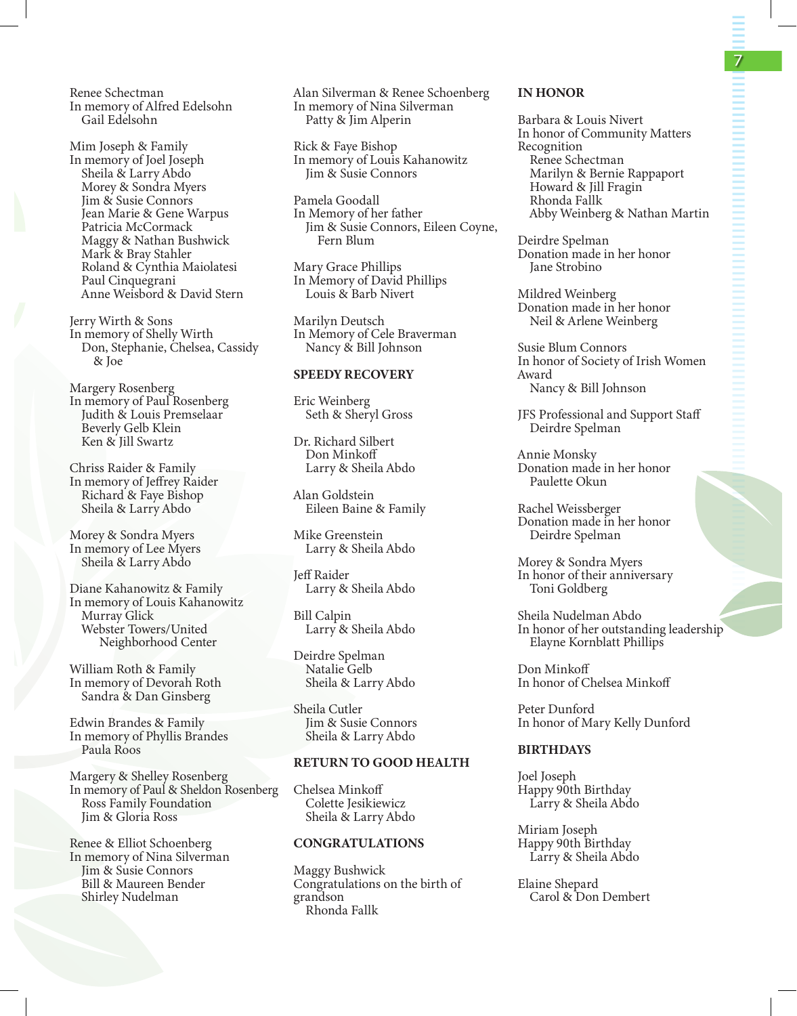Renee Schectman In memory of Alfred Edelsohn Gail Edelsohn

Mim Joseph & Family In memory of Joel Joseph Sheila & Larry Abdo Morey & Sondra Myers Jim & Susie Connors Jean Marie & Gene Warpus Patricia McCormack Maggy & Nathan Bushwick Mark & Bray Stahler Roland & Cynthia Maiolatesi Paul Cinquegrani Anne Weisbord & David Stern

Jerry Wirth & Sons In memory of Shelly Wirth Don, Stephanie, Chelsea, Cassidy & Joe

Margery Rosenberg In memory of Paul Rosenberg Judith & Louis Premselaar Beverly Gelb Klein Ken & Jill Swartz

Chriss Raider & Family In memory of Jeffrey Raider Richard & Faye Bishop Sheila & Larry Abdo

Morey & Sondra Myers In memory of Lee Myers Sheila & Larry Abdo

Diane Kahanowitz & Family In memory of Louis Kahanowitz Murray Glick Webster Towers/United Neighborhood Center

William Roth & Family In memory of Devorah Roth Sandra & Dan Ginsberg

Edwin Brandes & Family In memory of Phyllis Brandes Paula Roos

Margery & Shelley Rosenberg In memory of Paul & Sheldon Rosenberg Ross Family Foundation Jim & Gloria Ross

Renee & Elliot Schoenberg In memory of Nina Silverman Jim & Susie Connors Bill & Maureen Bender Shirley Nudelman

Alan Silverman & Renee Schoenberg In memory of Nina Silverman Patty & Jim Alperin

Rick & Faye Bishop In memory of Louis Kahanowitz Jim & Susie Connors

Pamela Goodall In Memory of her father Jim & Susie Connors, Eileen Coyne, Fern Blum

Mary Grace Phillips In Memory of David Phillips Louis & Barb Nivert

Marilyn Deutsch In Memory of Cele Braverman Nancy & Bill Johnson

#### SPEEDY RECOVERY

Eric Weinberg Seth & Sheryl Gross

Dr. Richard Silbert Don Minkoff Larry & Sheila Abdo

Alan Goldstein Eileen Baine & Family

Mike Greenstein Larry & Sheila Abdo

Jeff Raider Larry & Sheila Abdo

Bill Calpin Larry & Sheila Abdo

Deirdre Spelman Natalie Gelb Sheila & Larry Abdo

Sheila Cutler Jim & Susie Connors Sheila & Larry Abdo

#### RETURN TO GOOD HEALTH

Chelsea Minkoff Colette Jesikiewicz Sheila & Larry Abdo

#### CONGRATULATIONS

Maggy Bushwick Congratulations on the birth of grandson Rhonda Fallk

#### IN HONOR

Barbara & Louis Nivert In honor of Community Matters Recognition Renee Schectman Marilyn & Bernie Rappaport Howard & Jill Fragin Rhonda Fallk Abby Weinberg & Nathan Martin

Deirdre Spelman Donation made in her honor Jane Strobino

Mildred Weinberg Donation made in her honor Neil & Arlene Weinberg

Susie Blum Connors In honor of Society of Irish Women Award Nancy & Bill Johnson

JFS Professional and Support Staff Deirdre Spelman

Annie Monsky Donation made in her honor Paulette Okun

Rachel Weissberger Donation made in her honor Deirdre Spelman

Morey & Sondra Myers In honor of their anniversary Toni Goldberg

Sheila Nudelman Abdo In honor of her outstanding leadership Elayne Kornblatt Phillips

Don Minkoff In honor of Chelsea Minkoff

Peter Dunford In honor of Mary Kelly Dunford

#### BIRTHDAYS

Joel Joseph Happy 90th Birthday Larry & Sheila Abdo

Miriam Joseph Happy 90th Birthday Larry & Sheila Abdo

Elaine Shepard Carol & Don Dembert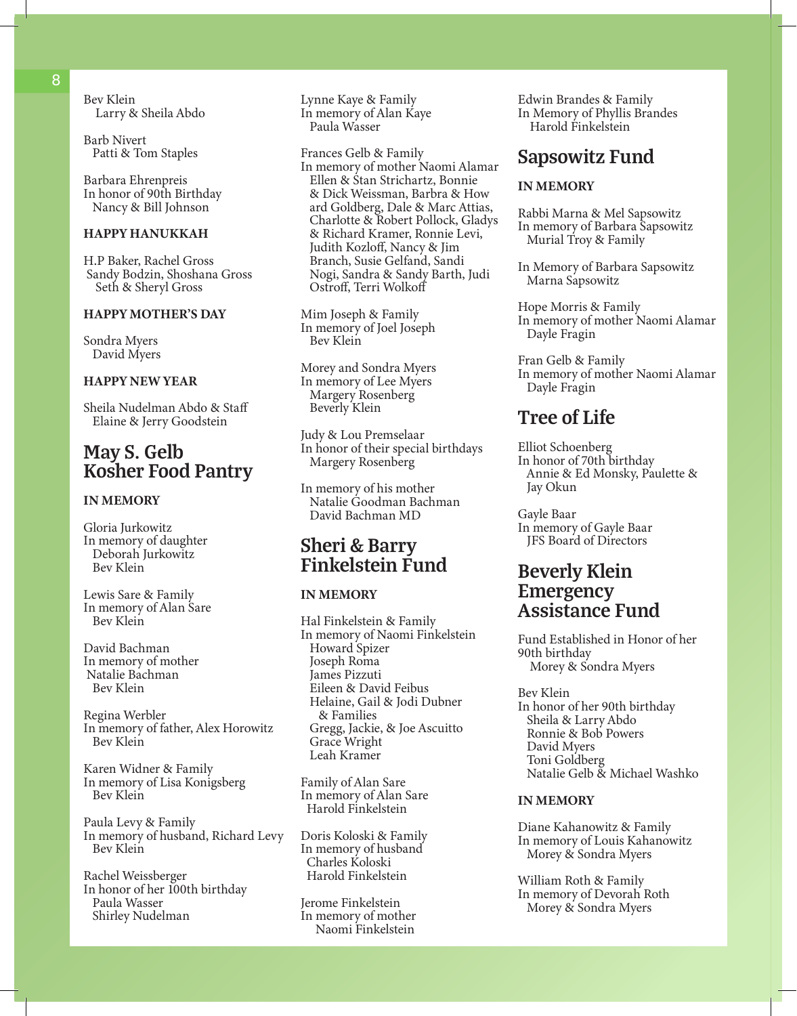Bev Klein Larry & Sheila Abdo

Barb Nivert Patti & Tom Staples

Barbara Ehrenpreis In honor of 90th Birthday Nancy & Bill Johnson

#### HAPPY HANUKKAH

H.P Baker, Rachel Gross Sandy Bodzin, Shoshana Gross Seth & Sheryl Gross

#### HAPPY MOTHER'S DAY

Sondra Myers David Myers

#### HAPPY NEW YEAR

Sheila Nudelman Abdo & Staff Elaine & Jerry Goodstein

## **May S. Gelb Kosher Food Pantry**

#### IN MEMORY

Gloria Jurkowitz In memory of daughter Deborah Jurkowitz Bev Klein

Lewis Sare & Family In memory of Alan Sare Bev Klein

David Bachman In memory of mother Natalie Bachman Bev Klein

Regina Werbler In memory of father, Alex Horowitz Bev Klein

Karen Widner & Family In memory of Lisa Konigsberg Bev Klein

Paula Levy & Family In memory of husband, Richard Levy Bev Klein

Rachel Weissberger In honor of her 100th birthday Paula Wasser Shirley Nudelman

Lynne Kaye & Family In memory of Alan Kaye Paula Wasser

Frances Gelb & Family In memory of mother Naomi Alamar Ellen & Stan Strichartz, Bonnie & Dick Weissman, Barbra & How ard Goldberg, Dale & Marc Attias, Charlotte & Robert Pollock, Gladys & Richard Kramer, Ronnie Levi, Judith Kozloff, Nancy & Jim Branch, Susie Gelfand, Sandi Nogi, Sandra & Sandy Barth, Judi Ostroff, Terri Wolkoff

Mim Joseph & Family In memory of Joel Joseph Bev Klein

Morey and Sondra Myers In memory of Lee Myers Margery Rosenberg Beverly Klein

Judy & Lou Premselaar In honor of their special birthdays Margery Rosenberg

In memory of his mother Natalie Goodman Bachman David Bachman MD

## **Sheri & Barry Finkelstein Fund**

#### IN MEMORY

Hal Finkelstein & Family In memory of Naomi Finkelstein Howard Spizer Joseph Roma James Pizzuti Eileen & David Feibus Helaine, Gail & Jodi Dubner & Families Gregg, Jackie, & Joe Ascuitto Grace Wright Leah Kramer

Family of Alan Sare In memory of Alan Sare Harold Finkelstein

Doris Koloski & Family In memory of husband Charles Koloski Harold Finkelstein

Jerome Finkelstein In memory of mother Naomi Finkelstein

Edwin Brandes & Family In Memory of Phyllis Brandes Harold Finkelstein

## **Sapsowitz Fund**

#### IN MEMORY

Rabbi Marna & Mel Sapsowitz In memory of Barbara Sapsowitz Murial Troy & Family

In Memory of Barbara Sapsowitz Marna Sapsowitz

Hope Morris & Family In memory of mother Naomi Alamar Dayle Fragin

Fran Gelb & Family In memory of mother Naomi Alamar Dayle Fragin

## **Tree of Life**

Elliot Schoenberg In honor of 70th birthday Annie & Ed Monsky, Paulette & Jay Okun

Gayle Baar In memory of Gayle Baar JFS Board of Directors

## **Beverly Klein Emergency Assistance Fund**

Fund Established in Honor of her 90th birthday Morey & Sondra Myers

Bev Klein In honor of her 90th birthday Sheila & Larry Abdo Ronnie & Bob Powers David Myers Toni Goldberg Natalie Gelb & Michael Washko

#### IN MEMORY

Diane Kahanowitz & Family In memory of Louis Kahanowitz Morey & Sondra Myers

William Roth & Family In memory of Devorah Roth Morey & Sondra Myers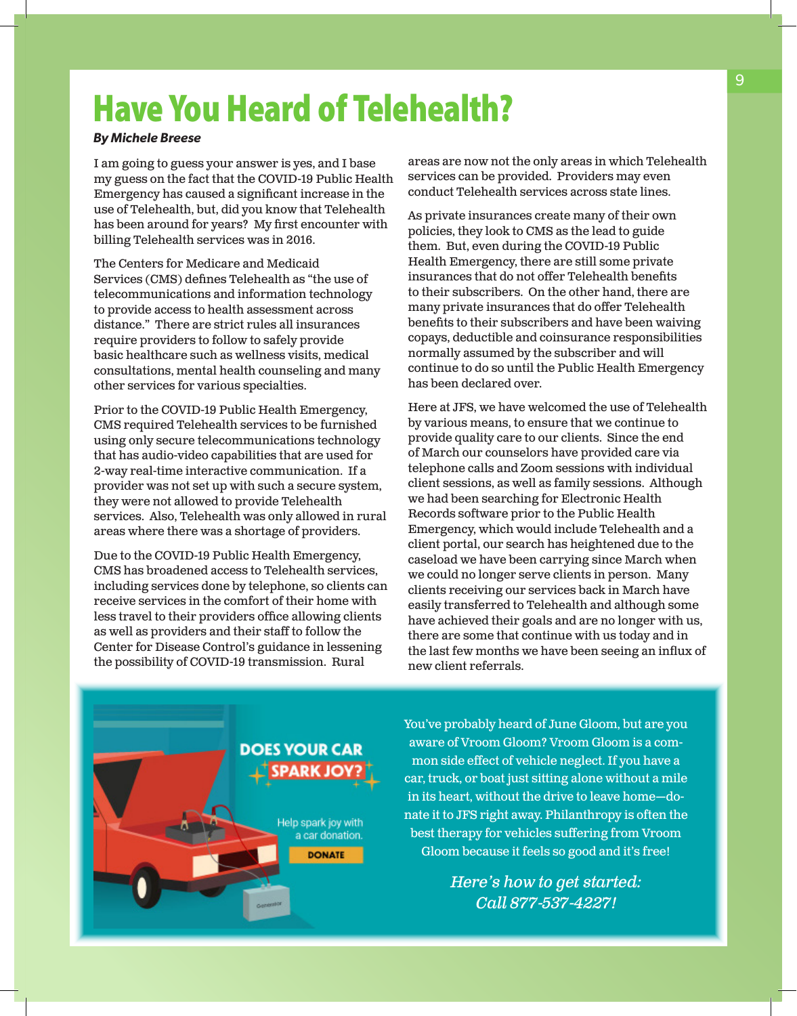# Have You Heard of Telehealth?

#### *By Michele Breese*

I am going to guess your answer is yes, and I base my guess on the fact that the COVID-19 Public Health Emergency has caused a significant increase in the use of Telehealth, but, did you know that Telehealth has been around for years? My first encounter with billing Telehealth services was in 2016.

The Centers for Medicare and Medicaid Services (CMS) defines Telehealth as "the use of telecommunications and information technology to provide access to health assessment across distance." There are strict rules all insurances require providers to follow to safely provide basic healthcare such as wellness visits, medical consultations, mental health counseling and many other services for various specialties.

Prior to the COVID-19 Public Health Emergency, CMS required Telehealth services to be furnished using only secure telecommunications technology that has audio-video capabilities that are used for 2-way real-time interactive communication. If a provider was not set up with such a secure system, they were not allowed to provide Telehealth services. Also, Telehealth was only allowed in rural areas where there was a shortage of providers.

Due to the COVID-19 Public Health Emergency, CMS has broadened access to Telehealth services, including services done by telephone, so clients can receive services in the comfort of their home with less travel to their providers office allowing clients as well as providers and their staff to follow the Center for Disease Control's guidance in lessening the possibility of COVID-19 transmission. Rural

areas are now not the only areas in which Telehealth services can be provided. Providers may even conduct Telehealth services across state lines.

As private insurances create many of their own policies, they look to CMS as the lead to guide them. But, even during the COVID-19 Public Health Emergency, there are still some private insurances that do not offer Telehealth benefits to their subscribers. On the other hand, there are many private insurances that do offer Telehealth benefits to their subscribers and have been waiving copays, deductible and coinsurance responsibilities normally assumed by the subscriber and will continue to do so until the Public Health Emergency has been declared over.

Here at JFS, we have welcomed the use of Telehealth by various means, to ensure that we continue to provide quality care to our clients. Since the end of March our counselors have provided care via telephone calls and Zoom sessions with individual client sessions, as well as family sessions. Although we had been searching for Electronic Health Records software prior to the Public Health Emergency, which would include Telehealth and a client portal, our search has heightened due to the caseload we have been carrying since March when we could no longer serve clients in person. Many clients receiving our services back in March have easily transferred to Telehealth and although some have achieved their goals and are no longer with us, there are some that continue with us today and in the last few months we have been seeing an influx of new client referrals.

**DOES YOUR CAR SPARK JOY** Help spark joy with a car donation. **DONATE** 

You've probably heard of June Gloom, but are you aware of Vroom Gloom? Vroom Gloom is a common side effect of vehicle neglect. If you have a car, truck, or boat just sitting alone without a mile in its heart, without the drive to leave home—donate it to JFS right away. Philanthropy is often the best therapy for vehicles suffering from Vroom Gloom because it feels so good and it's free!

> *Here's how to get started: Call 877-537-4227!*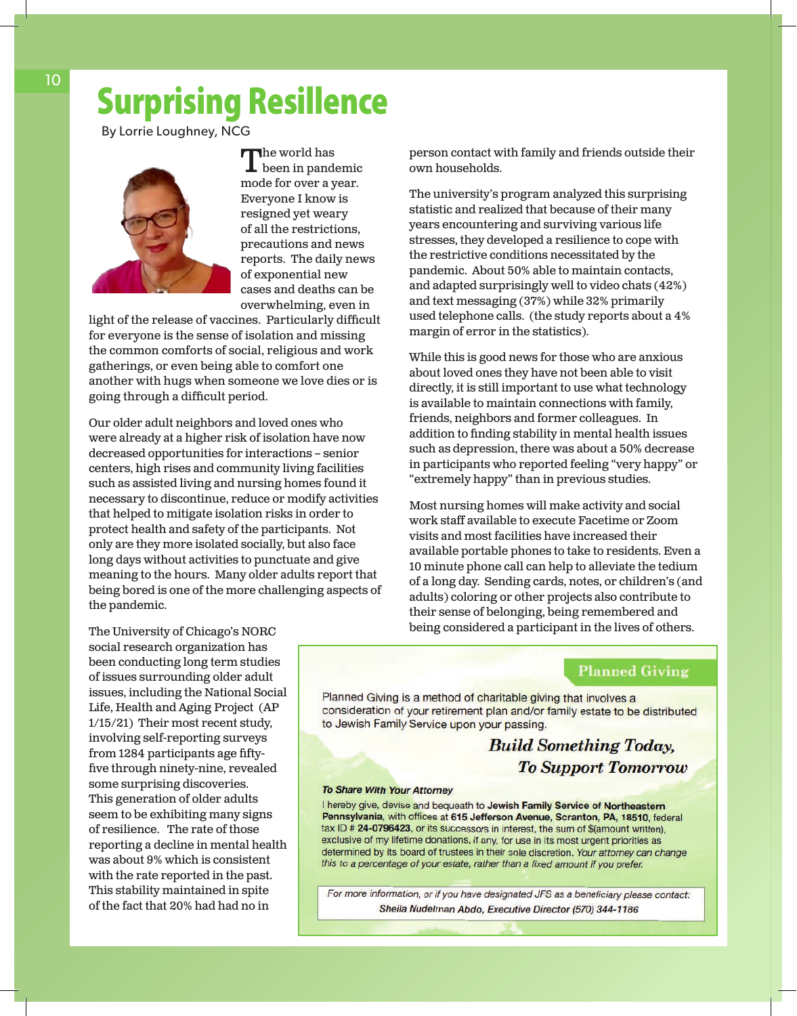# Surprising Resillence

By Lorrie Loughney, NCG



 $\n **The world has**\n$ been in pandemic mode for over a year. Everyone I know is resigned yet weary of all the restrictions, precautions and news reports. The daily news of exponential new cases and deaths can be overwhelming, even in

light of the release of vaccines. Particularly difficult for everyone is the sense of isolation and missing the common comforts of social, religious and work gatherings, or even being able to comfort one another with hugs when someone we love dies or is going through a difficult period.

Our older adult neighbors and loved ones who were already at a higher risk of isolation have now decreased opportunities for interactions – senior centers, high rises and community living facilities such as assisted living and nursing homes found it necessary to discontinue, reduce or modify activities that helped to mitigate isolation risks in order to protect health and safety of the participants. Not only are they more isolated socially, but also face long days without activities to punctuate and give meaning to the hours. Many older adults report that being bored is one of the more challenging aspects of the pandemic.

person contact with family and friends outside their own households.

The university's program analyzed this surprising statistic and realized that because of their many years encountering and surviving various life stresses, they developed a resilience to cope with the restrictive conditions necessitated by the pandemic. About 50% able to maintain contacts, and adapted surprisingly well to video chats (42%) and text messaging (37%) while 32% primarily used telephone calls. (the study reports about a 4% margin of error in the statistics).

While this is good news for those who are anxious about loved ones they have not been able to visit directly, it is still important to use what technology is available to maintain connections with family, friends, neighbors and former colleagues. In addition to finding stability in mental health issues such as depression, there was about a 50% decrease in participants who reported feeling "very happy" or "extremely happy" than in previous studies.

Most nursing homes will make activity and social work staff available to execute Facetime or Zoom visits and most facilities have increased their available portable phones to take to residents. Even a 10 minute phone call can help to alleviate the tedium of a long day. Sending cards, notes, or children's (and adults) coloring or other projects also contribute to their sense of belonging, being remembered and being considered a participant in the lives of others.

#### **Planned Giving**

Planned Giving is a method of charitable giving that involves a consideration of your retirement plan and/or family estate to be distributed to Jewish Family Service upon your passing.

> **Build Something Today, To Support Tomorrow**

#### **To Share With Your Attorney**

I hereby give, devise and bequeath to Jewish Family Service of Northeastern Pennsylvania, with offices at 615 Jefferson Avenue, Scranton, PA, 18510, federal tax ID # 24-0796423, or its successors in interest, the sum of \$(amount written). exclusive of my lifetime donations, if any, for use in its most urgent priorities as determined by its board of trustees in their sole discretion. Your attorney can change this to a percentage of your estate, rather than a fixed amount if you prefer.

For more information, or if you have designated JFS as a beneficiary please contact: Sheila Nudelman Abdo, Executive Director (570) 344-1186

The University of Chicago's NORC social research organization has been conducting long term studies of issues surrounding older adult issues, including the National Social Life, Health and Aging Project (AP 1/15/21) Their most recent study, involving self-reporting surveys from 1284 participants age fiftyfive through ninety-nine, revealed some surprising discoveries. This generation of older adults seem to be exhibiting many signs of resilience. The rate of those reporting a decline in mental health was about 9% which is consistent with the rate reported in the past. This stability maintained in spite of the fact that 20% had had no in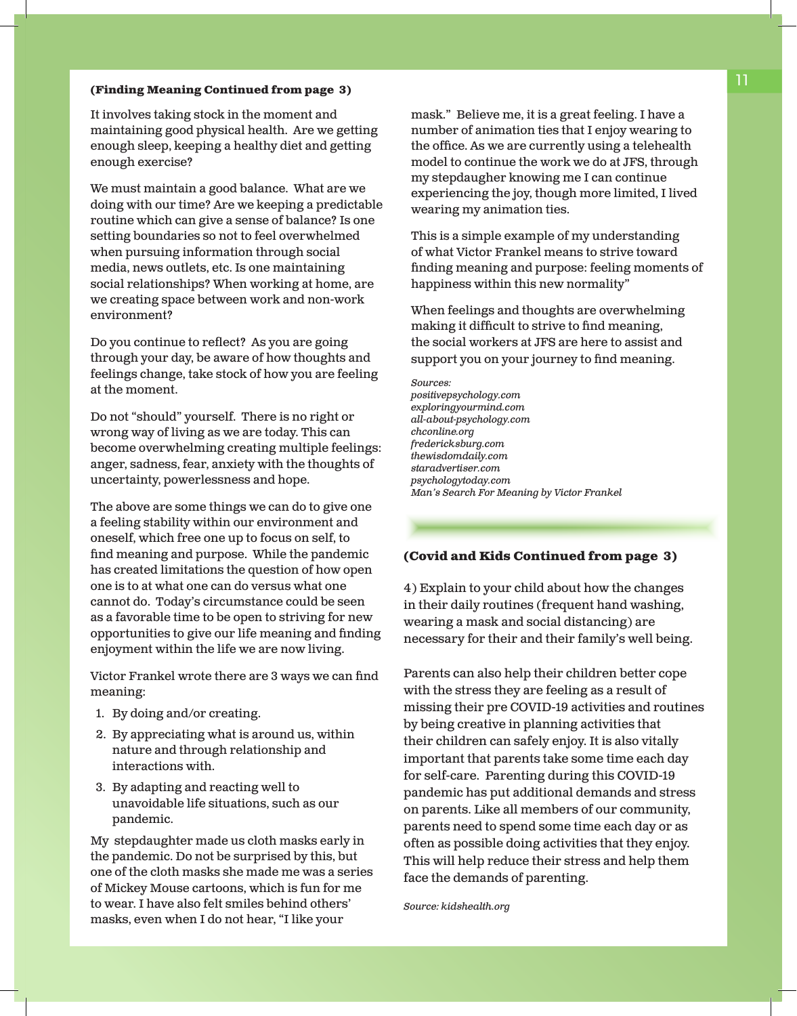#### **(Finding Meaning Continued from page 3)**

It involves taking stock in the moment and maintaining good physical health. Are we getting enough sleep, keeping a healthy diet and getting enough exercise?

We must maintain a good balance. What are we doing with our time? Are we keeping a predictable routine which can give a sense of balance? Is one setting boundaries so not to feel overwhelmed when pursuing information through social media, news outlets, etc. Is one maintaining social relationships? When working at home, are we creating space between work and non-work environment?

Do you continue to reflect? As you are going through your day, be aware of how thoughts and feelings change, take stock of how you are feeling at the moment.

Do not "should" yourself. There is no right or wrong way of living as we are today. This can become overwhelming creating multiple feelings: anger, sadness, fear, anxiety with the thoughts of uncertainty, powerlessness and hope.

The above are some things we can do to give one a feeling stability within our environment and oneself, which free one up to focus on self, to find meaning and purpose. While the pandemic has created limitations the question of how open one is to at what one can do versus what one cannot do. Today's circumstance could be seen as a favorable time to be open to striving for new opportunities to give our life meaning and finding enjoyment within the life we are now living.

Victor Frankel wrote there are 3 ways we can find meaning:

- 1. By doing and/or creating.
- 2. By appreciating what is around us, within nature and through relationship and interactions with.
- 3. By adapting and reacting well to unavoidable life situations, such as our pandemic.

My stepdaughter made us cloth masks early in the pandemic. Do not be surprised by this, but one of the cloth masks she made me was a series of Mickey Mouse cartoons, which is fun for me to wear. I have also felt smiles behind others' masks, even when I do not hear, "I like your

mask." Believe me, it is a great feeling. I have a number of animation ties that I enjoy wearing to the office. As we are currently using a telehealth model to continue the work we do at JFS, through my stepdaugher knowing me I can continue experiencing the joy, though more limited, I lived wearing my animation ties.

This is a simple example of my understanding of what Victor Frankel means to strive toward finding meaning and purpose: feeling moments of happiness within this new normality"

When feelings and thoughts are overwhelming making it difficult to strive to find meaning, the social workers at JFS are here to assist and support you on your journey to find meaning.

*Sources: positivepsychology.com exploringyourmind.com all-about-psychology.com chconline.org fredericksburg.com thewisdomdaily.com staradvertiser.com psychologytoday.com Man's Search For Meaning by Victor Frankel*

#### **(Covid and Kids Continued from page 3)**

4) Explain to your child about how the changes in their daily routines (frequent hand washing, wearing a mask and social distancing) are necessary for their and their family's well being.

Parents can also help their children better cope with the stress they are feeling as a result of missing their pre COVID-19 activities and routines by being creative in planning activities that their children can safely enjoy. It is also vitally important that parents take some time each day for self-care. Parenting during this COVID-19 pandemic has put additional demands and stress on parents. Like all members of our community, parents need to spend some time each day or as often as possible doing activities that they enjoy. This will help reduce their stress and help them face the demands of parenting.

*Source: kidshealth.org*